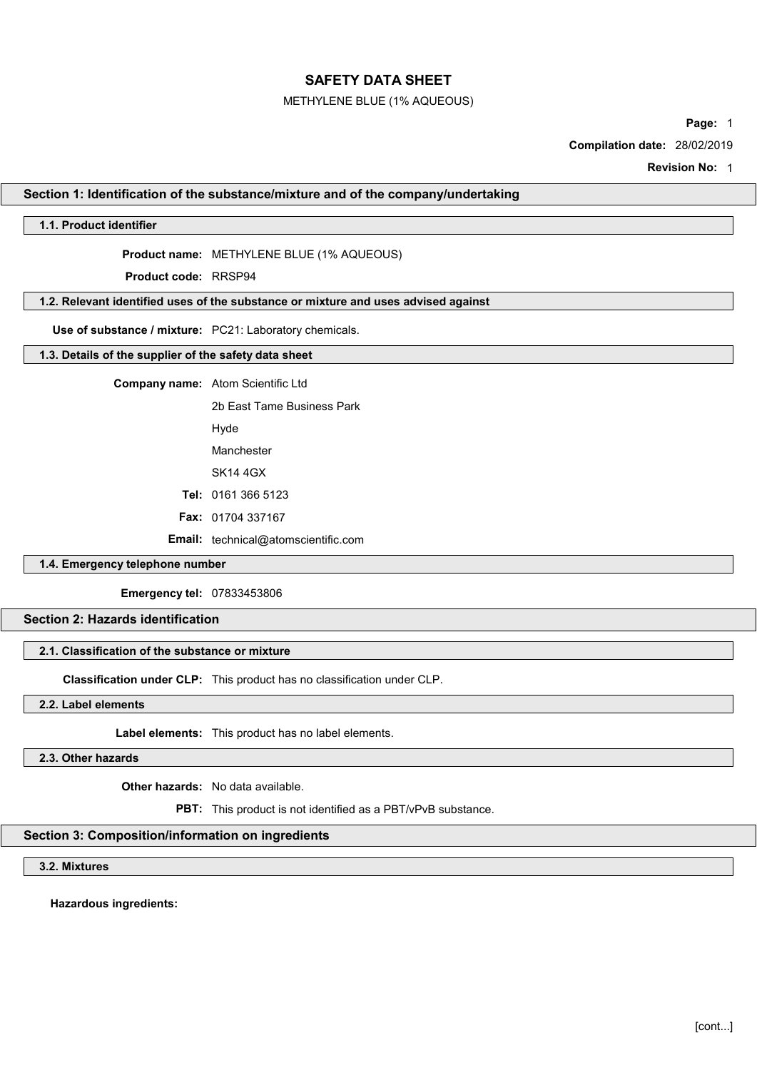## METHYLENE BLUE (1% AQUEOUS)

Page: 1

Compilation date: 28/02/2019

Revision No: 1

## Section 1: Identification of the substance/mixture and of the company/undertaking

# 1.1. Product identifier

Product name: METHYLENE BLUE (1% AQUEOUS)

Product code: RRSP94

# 1.2. Relevant identified uses of the substance or mixture and uses advised against

Use of substance / mixture: PC21: Laboratory chemicals.

# 1.3. Details of the supplier of the safety data sheet

Company name: Atom Scientific Ltd

2b East Tame Business Park

Hyde

Manchester

SK14 4GX

Tel: 0161 366 5123

Fax: 01704 337167

Email: technical@atomscientific.com

# 1.4. Emergency telephone number

Emergency tel: 07833453806

# Section 2: Hazards identification

# 2.1. Classification of the substance or mixture

Classification under CLP: This product has no classification under CLP.

2.2. Label elements

Label elements: This product has no label elements.

2.3. Other hazards

Other hazards: No data available.

PBT: This product is not identified as a PBT/vPvB substance.

## Section 3: Composition/information on ingredients

3.2. Mixtures

Hazardous ingredients: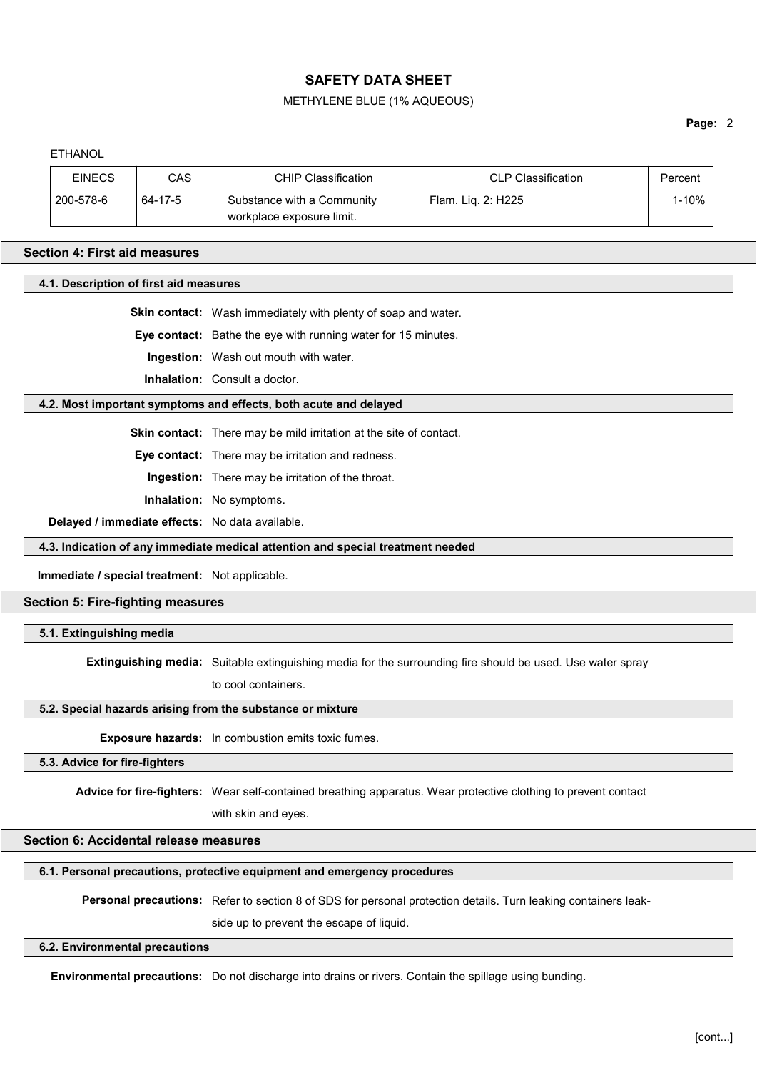## METHYLENE BLUE (1% AQUEOUS)

## Page: 2

**ETHANOL** 

| <b>EINECS</b> | CAS     | CHIP Classification        | <b>CLP Classification</b> | Percent |
|---------------|---------|----------------------------|---------------------------|---------|
| 200-578-6     | 64-17-5 | Substance with a Community | Flam. Lig. 2: H225        | l-10%   |
|               |         | workplace exposure limit.  |                           |         |

## Section 4: First aid measures

4.1. Description of first aid measures

Skin contact: Wash immediately with plenty of soap and water.

Eye contact: Bathe the eye with running water for 15 minutes.

Ingestion: Wash out mouth with water.

Inhalation: Consult a doctor.

## 4.2. Most important symptoms and effects, both acute and delayed

Skin contact: There may be mild irritation at the site of contact.

Eye contact: There may be irritation and redness.

Ingestion: There may be irritation of the throat.

Inhalation: No symptoms.

Delayed / immediate effects: No data available.

4.3. Indication of any immediate medical attention and special treatment needed

Immediate / special treatment: Not applicable.

# Section 5: Fire-fighting measures

5.1. Extinguishing media

Extinguishing media: Suitable extinguishing media for the surrounding fire should be used. Use water spray

to cool containers.

# 5.2. Special hazards arising from the substance or mixture

Exposure hazards: In combustion emits toxic fumes.

5.3. Advice for fire-fighters

Advice for fire-fighters: Wear self-contained breathing apparatus. Wear protective clothing to prevent contact

with skin and eyes.

# Section 6: Accidental release measures

6.1. Personal precautions, protective equipment and emergency procedures

Personal precautions: Refer to section 8 of SDS for personal protection details. Turn leaking containers leak-

side up to prevent the escape of liquid.

## 6.2. Environmental precautions

Environmental precautions: Do not discharge into drains or rivers. Contain the spillage using bunding.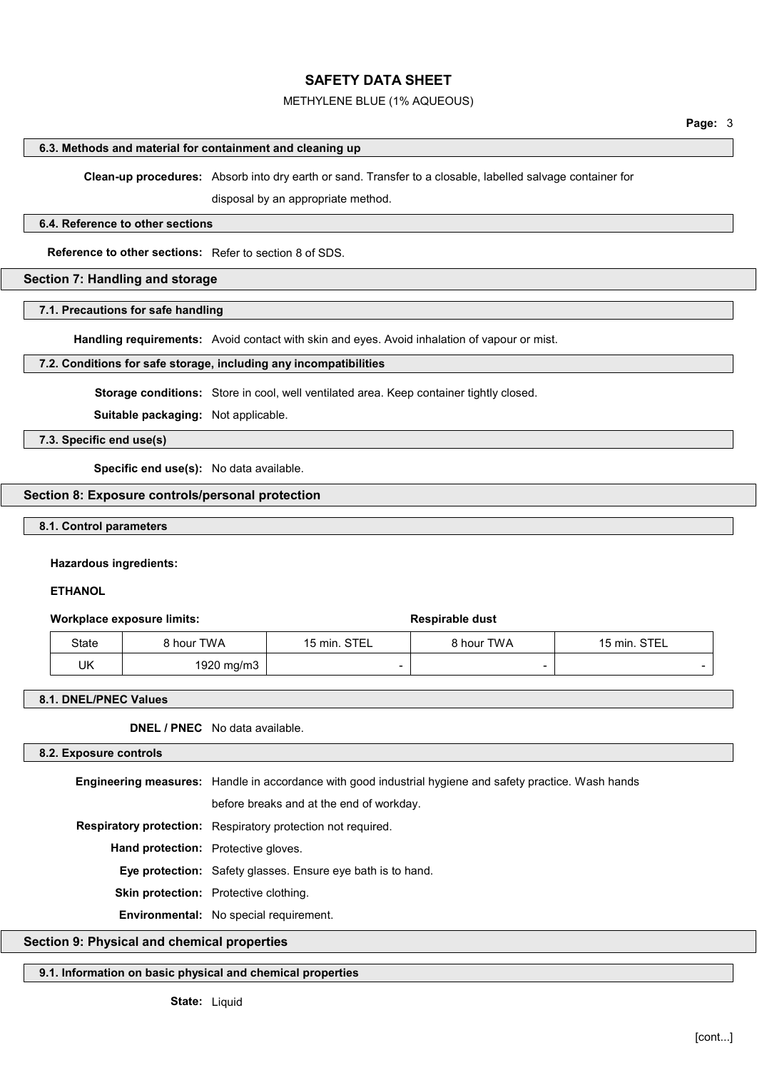## METHYLENE BLUE (1% AQUEOUS)

#### 6.3. Methods and material for containment and cleaning up

Clean-up procedures: Absorb into dry earth or sand. Transfer to a closable, labelled salvage container for

disposal by an appropriate method.

#### 6.4. Reference to other sections

Reference to other sections: Refer to section 8 of SDS.

# Section 7: Handling and storage

#### 7.1. Precautions for safe handling

Handling requirements: Avoid contact with skin and eyes. Avoid inhalation of vapour or mist.

## 7.2. Conditions for safe storage, including any incompatibilities

Storage conditions: Store in cool, well ventilated area. Keep container tightly closed.

Suitable packaging: Not applicable.

# 7.3. Specific end use(s)

Specific end use(s): No data available.

# Section 8: Exposure controls/personal protection

# 8.1. Control parameters

#### Hazardous ingredients:

## **ETHANOL**

## Workplace exposure limits:  $\qquad \qquad$  Respirable dust

| State | 8 hour TWA | 15 min. STEL | 8 hour TWA | 15 min. STEL |
|-------|------------|--------------|------------|--------------|
| UK    | 1920 mg/m3 |              |            |              |

#### 8.1. DNEL/PNEC Values

DNEL / PNEC No data available.

#### 8.2. Exposure controls

Engineering measures: Handle in accordance with good industrial hygiene and safety practice. Wash hands

before breaks and at the end of workday.

Respiratory protection: Respiratory protection not required.

Hand protection: Protective gloves.

Eye protection: Safety glasses. Ensure eye bath is to hand.

Skin protection: Protective clothing.

Environmental: No special requirement.

# Section 9: Physical and chemical properties

# 9.1. Information on basic physical and chemical properties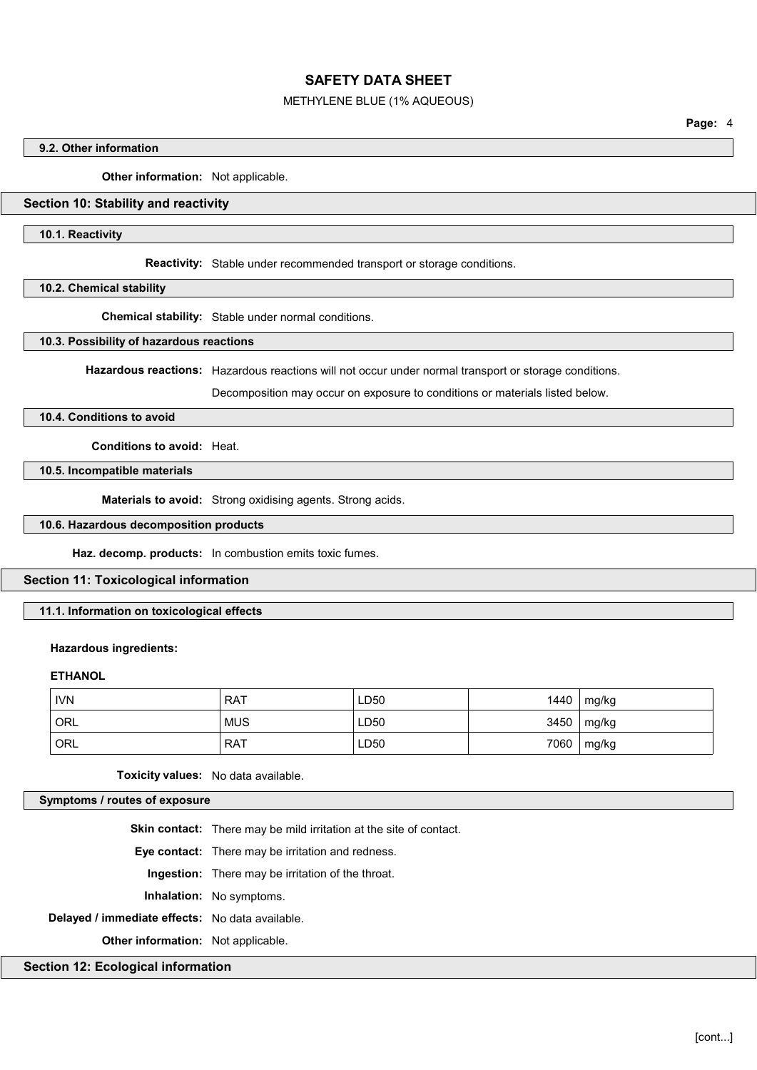## METHYLENE BLUE (1% AQUEOUS)

Page: 4

## 9.2. Other information

Other information: Not applicable.

# Section 10: Stability and reactivity

## 10.1. Reactivity

Reactivity: Stable under recommended transport or storage conditions.

#### 10.2. Chemical stability

Chemical stability: Stable under normal conditions.

## 10.3. Possibility of hazardous reactions

Hazardous reactions: Hazardous reactions will not occur under normal transport or storage conditions.

Decomposition may occur on exposure to conditions or materials listed below.

# 10.4. Conditions to avoid

Conditions to avoid: Heat.

10.5. Incompatible materials

Materials to avoid: Strong oxidising agents. Strong acids.

# 10.6. Hazardous decomposition products

Haz. decomp. products: In combustion emits toxic fumes.

## Section 11: Toxicological information

# 11.1. Information on toxicological effects

# Hazardous ingredients:

# **ETHANOL**

| <b>IVN</b> | <b>RAT</b> | LD50 | 1440 | mg/kg          |
|------------|------------|------|------|----------------|
| <b>ORL</b> | <b>MUS</b> | LD50 |      | $3450$   mg/kg |
| ORL        | <b>RAT</b> | LD50 | 7060 | mg/kg          |

Toxicity values: No data available.

Symptoms / routes of exposure

Skin contact: There may be mild irritation at the site of contact.

Eye contact: There may be irritation and redness.

Ingestion: There may be irritation of the throat.

Inhalation: No symptoms.

Delayed / immediate effects: No data available.

**Other information:** Not applicable.

## Section 12: Ecological information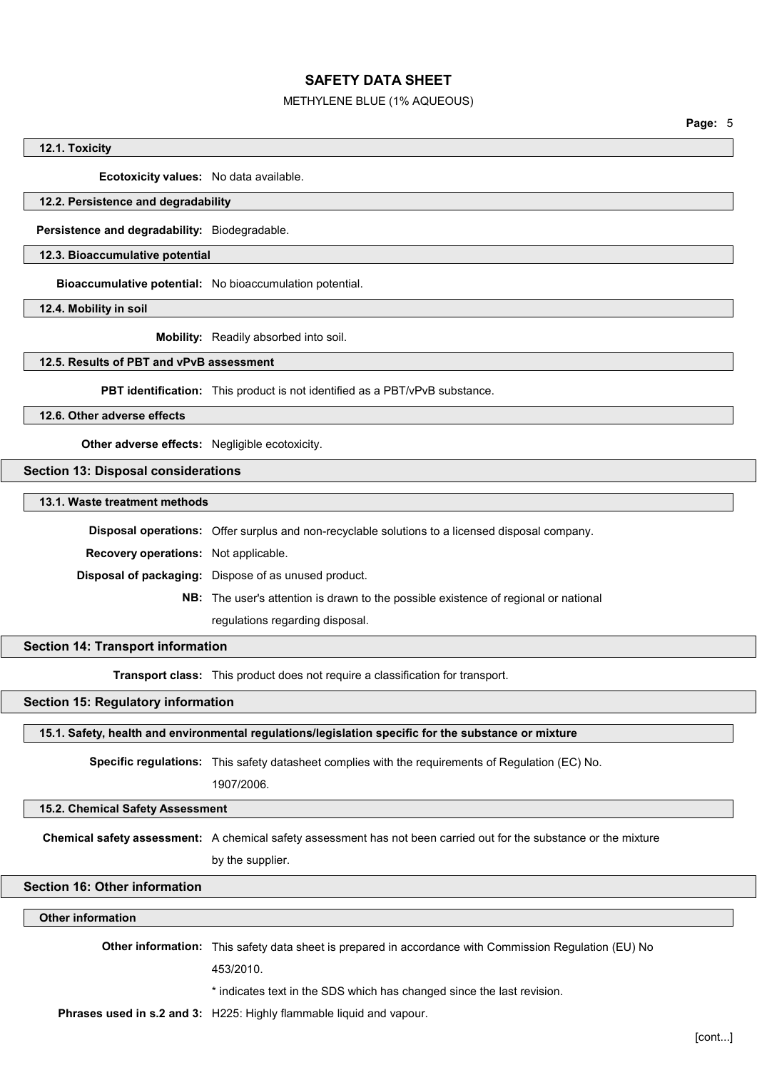#### METHYLENE BLUE (1% AQUEOUS)

Page: 5

#### 12.1. Toxicity

Ecotoxicity values: No data available.

# 12.2. Persistence and degradability

Persistence and degradability: Biodegradable.

## 12.3. Bioaccumulative potential

Bioaccumulative potential: No bioaccumulation potential.

12.4. Mobility in soil

Mobility: Readily absorbed into soil.

# 12.5. Results of PBT and vPvB assessment

PBT identification: This product is not identified as a PBT/vPvB substance.

12.6. Other adverse effects

Other adverse effects: Negligible ecotoxicity.

# Section 13: Disposal considerations

13.1. Waste treatment methods

Disposal operations: Offer surplus and non-recyclable solutions to a licensed disposal company.

Recovery operations: Not applicable.

Disposal of packaging: Dispose of as unused product.

NB: The user's attention is drawn to the possible existence of regional or national regulations regarding disposal.

# Section 14: Transport information

**Transport class:** This product does not require a classification for transport.

# Section 15: Regulatory information

15.1. Safety, health and environmental regulations/legislation specific for the substance or mixture

Specific regulations: This safety datasheet complies with the requirements of Regulation (EC) No.

1907/2006.

## 15.2. Chemical Safety Assessment

Chemical safety assessment: A chemical safety assessment has not been carried out for the substance or the mixture

by the supplier.

# Section 16: Other information

## Other information

Other information: This safety data sheet is prepared in accordance with Commission Regulation (EU) No

453/2010.

\* indicates text in the SDS which has changed since the last revision.

Phrases used in s.2 and 3: H225: Highly flammable liquid and vapour.